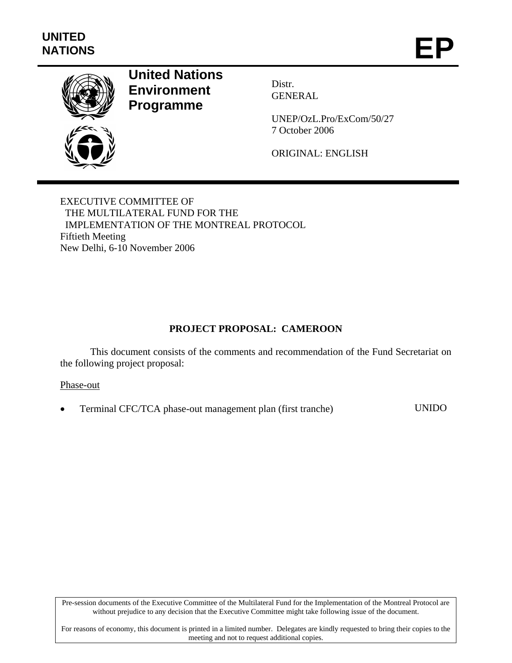

# **United Nations Environment Programme**

Distr. GENERAL

UNEP/OzL.Pro/ExCom/50/27 7 October 2006

ORIGINAL: ENGLISH

EXECUTIVE COMMITTEE OF THE MULTILATERAL FUND FOR THE IMPLEMENTATION OF THE MONTREAL PROTOCOL Fiftieth Meeting New Delhi, 6-10 November 2006

## **PROJECT PROPOSAL: CAMEROON**

This document consists of the comments and recommendation of the Fund Secretariat on the following project proposal:

#### Phase-out

• Terminal CFC/TCA phase-out management plan (first tranche) UNIDO

Pre-session documents of the Executive Committee of the Multilateral Fund for the Implementation of the Montreal Protocol are without prejudice to any decision that the Executive Committee might take following issue of the document.

For reasons of economy, this document is printed in a limited number. Delegates are kindly requested to bring their copies to the meeting and not to request additional copies.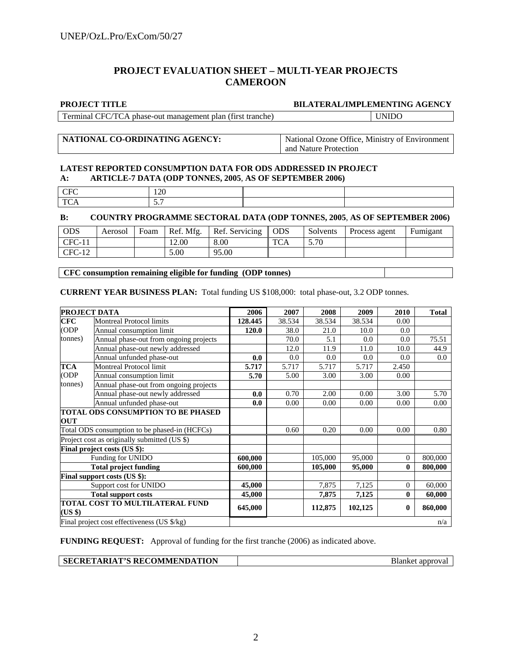#### **PROJECT EVALUATION SHEET – MULTI-YEAR PROJECTS CAMEROON**

#### **PROJECT TITLE BILATERAL/IMPLEMENTING AGENCY**

| $\mathbf{r}$<br>7FC<br>rerminal 1<br>tırst<br>tranche.<br>nlan.<br>Ή<br>phase-out<br>$\Delta$<br>. management :<br>$-$<br>$\sim$ $\sim$ |  |
|-----------------------------------------------------------------------------------------------------------------------------------------|--|
|                                                                                                                                         |  |

#### **NATIONAL CO-ORDINATING AGENCY:** National Ozone Office, Ministry of Environment

and Nature Protection

#### **LATEST REPORTED CONSUMPTION DATA FOR ODS ADDRESSED IN PROJECT A: ARTICLE-7 DATA (ODP TONNES, 2005**, **AS OF SEPTEMBER 2006)**

| ◡<br>_____ | $\gamma$<br>140             |  |
|------------|-----------------------------|--|
| m.         | -<br>_<br>$\cup$ ., $\cdot$ |  |

#### **B: COUNTRY PROGRAMME SECTORAL DATA (ODP TONNES, 2005**, **AS OF SEPTEMBER 2006)**

| <b>ODS</b> | Aerosol | Foam | Ref. Mfg. | Ref. Servicing | l ODS      | Solvents | Process agent | Fumigant |
|------------|---------|------|-----------|----------------|------------|----------|---------------|----------|
| $CFC-11$   |         |      | 12.00     | 8.00           | <b>TCA</b> | 5.70     |               |          |
| $CFC-12$   |         |      | 5.00      | 95.00          |            |          |               |          |

#### **CFC consumption remaining eligible for funding (ODP tonnes)**

**CURRENT YEAR BUSINESS PLAN:** Total funding US \$108,000: total phase-out, 3.2 ODP tonnes.

|                                                   | <b>PROJECT DATA</b>                           | 2006    | 2007   | 2008    | 2009    | 2010             | <b>Total</b> |
|---------------------------------------------------|-----------------------------------------------|---------|--------|---------|---------|------------------|--------------|
| CFC                                               | <b>Montreal Protocol limits</b>               | 128.445 | 38.534 | 38.534  | 38.534  | 0.00             |              |
| (ODP                                              | Annual consumption limit                      | 120.0   | 38.0   | 21.0    | 10.0    | 0.0              |              |
| Annual phase-out from ongoing projects<br>tonnes) |                                               |         | 70.0   | 5.1     | 0.0     | 0.0              | 75.51        |
|                                                   | Annual phase-out newly addressed              |         | 12.0   | 11.9    | 11.0    | 10.0             | 44.9         |
|                                                   | Annual unfunded phase-out                     | 0.0     | 0.0    | 0.0     | 0.0     | 0.0              | $0.0\,$      |
| <b>TCA</b>                                        | Montreal Protocol limit                       | 5.717   | 5.717  | 5.717   | 5.717   | 2.450            |              |
| (ODP                                              | Annual consumption limit                      | 5.70    | 5.00   | 3.00    | 3.00    | 0.00             |              |
| tonnes)                                           | Annual phase-out from ongoing projects        |         |        |         |         |                  |              |
|                                                   | Annual phase-out newly addressed              | 0.0     | 0.70   | 2.00    | 0.00    | 3.00             | 5.70         |
|                                                   | Annual unfunded phase-out                     | 0.0     | 0.00   | 0.00    | 0.00    | 0.00             | 0.00         |
|                                                   | <b>TOTAL ODS CONSUMPTION TO BE PHASED</b>     |         |        |         |         |                  |              |
| <b>OUT</b>                                        |                                               |         |        |         |         |                  |              |
|                                                   | Total ODS consumption to be phased-in (HCFCs) |         | 0.60   | 0.20    | 0.00    | 0.00             | 0.80         |
|                                                   | Project cost as originally submitted (US \$)  |         |        |         |         |                  |              |
|                                                   | Final project costs (US \$):                  |         |        |         |         |                  |              |
|                                                   | Funding for UNIDO                             | 600,000 |        | 105,000 | 95,000  | $\overline{0}$   | 800,000      |
|                                                   | <b>Total project funding</b>                  | 600,000 |        | 105,000 | 95,000  | $\bf{0}$         | 800,000      |
|                                                   | Final support costs (US \$):                  |         |        |         |         |                  |              |
|                                                   | Support cost for UNIDO                        | 45,000  |        | 7,875   | 7,125   | $\mathbf{0}$     | 60,000       |
|                                                   | <b>Total support costs</b>                    | 45,000  |        | 7,875   | 7,125   | $\bf{0}$         | 60,000       |
| (US \$)                                           | TOTAL COST TO MULTILATERAL FUND               | 645,000 |        | 112,875 | 102,125 | $\boldsymbol{0}$ | 860,000      |
|                                                   | Final project cost effectiveness (US \$/kg)   |         |        |         |         |                  | n/a          |

**FUNDING REQUEST:** Approval of funding for the first tranche (2006) as indicated above.

#### **SECRETARIAT'S RECOMMENDATION Blanket approval**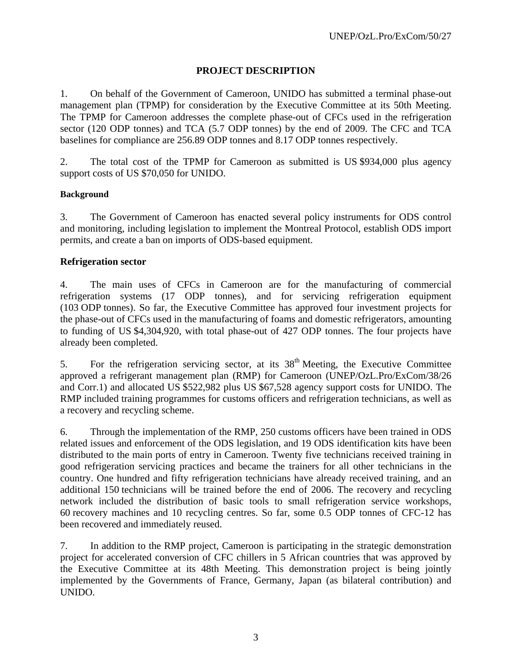## **PROJECT DESCRIPTION**

1. On behalf of the Government of Cameroon, UNIDO has submitted a terminal phase-out management plan (TPMP) for consideration by the Executive Committee at its 50th Meeting. The TPMP for Cameroon addresses the complete phase-out of CFCs used in the refrigeration sector (120 ODP tonnes) and TCA (5.7 ODP tonnes) by the end of 2009. The CFC and TCA baselines for compliance are 256.89 ODP tonnes and 8.17 ODP tonnes respectively.

2. The total cost of the TPMP for Cameroon as submitted is US \$934,000 plus agency support costs of US \$70,050 for UNIDO.

#### **Background**

3. The Government of Cameroon has enacted several policy instruments for ODS control and monitoring, including legislation to implement the Montreal Protocol, establish ODS import permits, and create a ban on imports of ODS-based equipment.

#### **Refrigeration sector**

4. The main uses of CFCs in Cameroon are for the manufacturing of commercial refrigeration systems (17 ODP tonnes), and for servicing refrigeration equipment (103 ODP tonnes). So far, the Executive Committee has approved four investment projects for the phase-out of CFCs used in the manufacturing of foams and domestic refrigerators, amounting to funding of US \$4,304,920, with total phase-out of 427 ODP tonnes. The four projects have already been completed.

5. For the refrigeration servicing sector, at its 38<sup>th</sup> Meeting, the Executive Committee approved a refrigerant management plan (RMP) for Cameroon (UNEP/OzL.Pro/ExCom/38/26 and Corr.1) and allocated US \$522,982 plus US \$67,528 agency support costs for UNIDO. The RMP included training programmes for customs officers and refrigeration technicians, as well as a recovery and recycling scheme.

6. Through the implementation of the RMP, 250 customs officers have been trained in ODS related issues and enforcement of the ODS legislation, and 19 ODS identification kits have been distributed to the main ports of entry in Cameroon. Twenty five technicians received training in good refrigeration servicing practices and became the trainers for all other technicians in the country. One hundred and fifty refrigeration technicians have already received training, and an additional 150 technicians will be trained before the end of 2006. The recovery and recycling network included the distribution of basic tools to small refrigeration service workshops, 60 recovery machines and 10 recycling centres. So far, some 0.5 ODP tonnes of CFC-12 has been recovered and immediately reused.

7. In addition to the RMP project, Cameroon is participating in the strategic demonstration project for accelerated conversion of CFC chillers in 5 African countries that was approved by the Executive Committee at its 48th Meeting. This demonstration project is being jointly implemented by the Governments of France, Germany, Japan (as bilateral contribution) and UNIDO.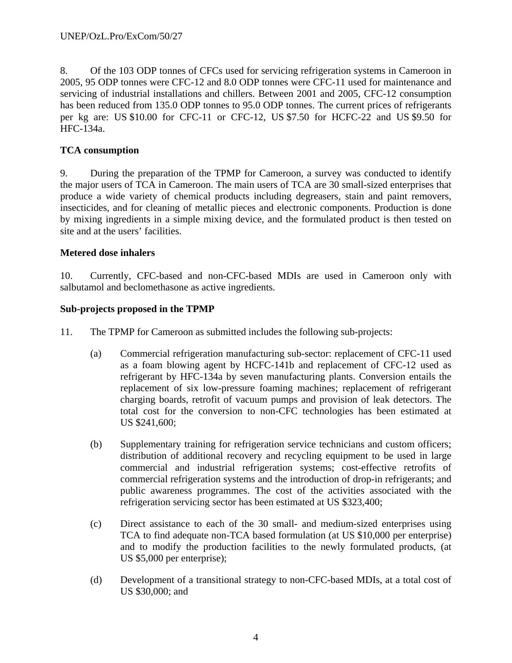8. Of the 103 ODP tonnes of CFCs used for servicing refrigeration systems in Cameroon in 2005, 95 ODP tonnes were CFC-12 and 8.0 ODP tonnes were CFC-11 used for maintenance and servicing of industrial installations and chillers. Between 2001 and 2005, CFC-12 consumption has been reduced from 135.0 ODP tonnes to 95.0 ODP tonnes. The current prices of refrigerants per kg are: US \$10.00 for CFC-11 or CFC-12, US \$7.50 for HCFC-22 and US \$9.50 for HFC-134a.

## **TCA consumption**

9. During the preparation of the TPMP for Cameroon, a survey was conducted to identify the major users of TCA in Cameroon. The main users of TCA are 30 small-sized enterprises that produce a wide variety of chemical products including degreasers, stain and paint removers, insecticides, and for cleaning of metallic pieces and electronic components. Production is done by mixing ingredients in a simple mixing device, and the formulated product is then tested on site and at the users' facilities.

#### **Metered dose inhalers**

10. Currently, CFC-based and non-CFC-based MDIs are used in Cameroon only with salbutamol and beclomethasone as active ingredients.

#### **Sub-projects proposed in the TPMP**

- 11. The TPMP for Cameroon as submitted includes the following sub-projects:
	- (a) Commercial refrigeration manufacturing sub-sector: replacement of CFC-11 used as a foam blowing agent by HCFC-141b and replacement of CFC-12 used as refrigerant by HFC-134a by seven manufacturing plants. Conversion entails the replacement of six low-pressure foaming machines; replacement of refrigerant charging boards, retrofit of vacuum pumps and provision of leak detectors. The total cost for the conversion to non-CFC technologies has been estimated at US \$241,600;
	- (b) Supplementary training for refrigeration service technicians and custom officers; distribution of additional recovery and recycling equipment to be used in large commercial and industrial refrigeration systems; cost-effective retrofits of commercial refrigeration systems and the introduction of drop-in refrigerants; and public awareness programmes. The cost of the activities associated with the refrigeration servicing sector has been estimated at US \$323,400;
	- (c) Direct assistance to each of the 30 small- and medium-sized enterprises using TCA to find adequate non-TCA based formulation (at US \$10,000 per enterprise) and to modify the production facilities to the newly formulated products, (at US \$5,000 per enterprise);
	- (d) Development of a transitional strategy to non-CFC-based MDIs, at a total cost of US \$30,000; and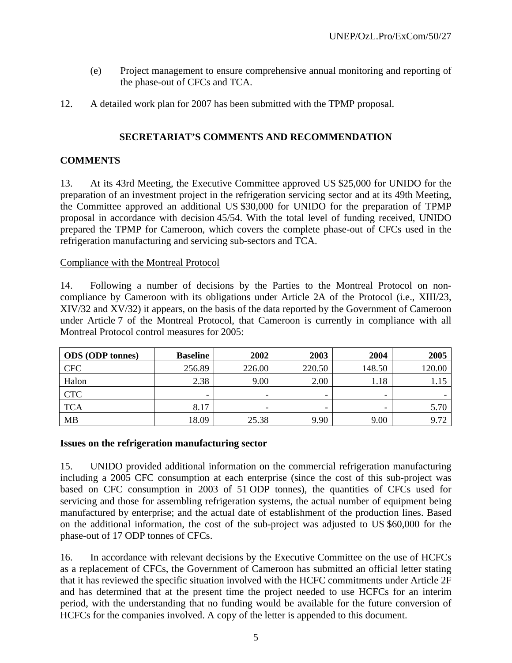- (e) Project management to ensure comprehensive annual monitoring and reporting of the phase-out of CFCs and TCA.
- 12. A detailed work plan for 2007 has been submitted with the TPMP proposal.

## **SECRETARIAT'S COMMENTS AND RECOMMENDATION**

#### **COMMENTS**

13. At its 43rd Meeting, the Executive Committee approved US \$25,000 for UNIDO for the preparation of an investment project in the refrigeration servicing sector and at its 49th Meeting, the Committee approved an additional US \$30,000 for UNIDO for the preparation of TPMP proposal in accordance with decision 45/54. With the total level of funding received, UNIDO prepared the TPMP for Cameroon, which covers the complete phase-out of CFCs used in the refrigeration manufacturing and servicing sub-sectors and TCA.

#### Compliance with the Montreal Protocol

14. Following a number of decisions by the Parties to the Montreal Protocol on noncompliance by Cameroon with its obligations under Article 2A of the Protocol (i.e., XIII/23, XIV/32 and XV/32) it appears, on the basis of the data reported by the Government of Cameroon under Article 7 of the Montreal Protocol, that Cameroon is currently in compliance with all Montreal Protocol control measures for 2005:

| <b>ODS</b> (ODP tonnes) | <b>Baseline</b> | 2002   | 2003   | 2004   | 2005   |
|-------------------------|-----------------|--------|--------|--------|--------|
| <b>CFC</b>              | 256.89          | 226.00 | 220.50 | 148.50 | 120.00 |
| Halon                   | 2.38            | 9.00   | 2.00   | 1.18   | 1.15   |
| <b>CTC</b>              | -               | -      |        | -      |        |
| <b>TCA</b>              | 8.17            |        |        | -      | 5.70   |
| <b>MB</b>               | 18.09           | 25.38  | 9.90   | 9.00   | 9.72   |

#### **Issues on the refrigeration manufacturing sector**

15. UNIDO provided additional information on the commercial refrigeration manufacturing including a 2005 CFC consumption at each enterprise (since the cost of this sub-project was based on CFC consumption in 2003 of 51 ODP tonnes), the quantities of CFCs used for servicing and those for assembling refrigeration systems, the actual number of equipment being manufactured by enterprise; and the actual date of establishment of the production lines. Based on the additional information, the cost of the sub-project was adjusted to US \$60,000 for the phase-out of 17 ODP tonnes of CFCs.

16. In accordance with relevant decisions by the Executive Committee on the use of HCFCs as a replacement of CFCs, the Government of Cameroon has submitted an official letter stating that it has reviewed the specific situation involved with the HCFC commitments under Article 2F and has determined that at the present time the project needed to use HCFCs for an interim period, with the understanding that no funding would be available for the future conversion of HCFCs for the companies involved. A copy of the letter is appended to this document.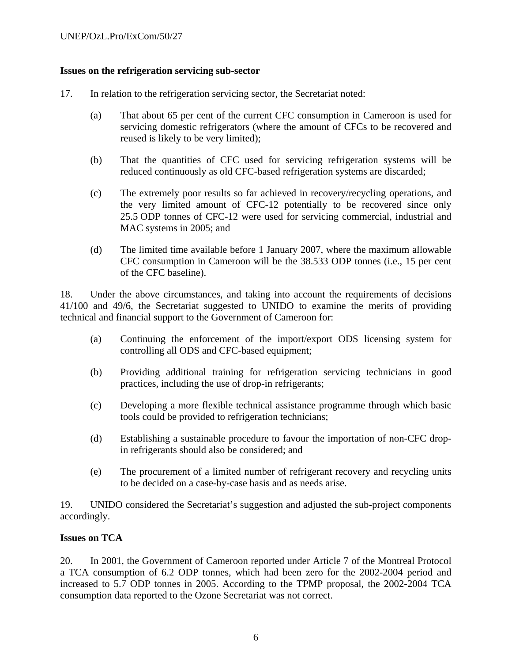#### **Issues on the refrigeration servicing sub-sector**

- 17. In relation to the refrigeration servicing sector, the Secretariat noted:
	- (a) That about 65 per cent of the current CFC consumption in Cameroon is used for servicing domestic refrigerators (where the amount of CFCs to be recovered and reused is likely to be very limited);
	- (b) That the quantities of CFC used for servicing refrigeration systems will be reduced continuously as old CFC-based refrigeration systems are discarded;
	- (c) The extremely poor results so far achieved in recovery/recycling operations, and the very limited amount of CFC-12 potentially to be recovered since only 25.5 ODP tonnes of CFC-12 were used for servicing commercial, industrial and MAC systems in 2005; and
	- (d) The limited time available before 1 January 2007, where the maximum allowable CFC consumption in Cameroon will be the 38.533 ODP tonnes (i.e., 15 per cent of the CFC baseline).

18. Under the above circumstances, and taking into account the requirements of decisions 41/100 and 49/6, the Secretariat suggested to UNIDO to examine the merits of providing technical and financial support to the Government of Cameroon for:

- (a) Continuing the enforcement of the import/export ODS licensing system for controlling all ODS and CFC-based equipment;
- (b) Providing additional training for refrigeration servicing technicians in good practices, including the use of drop-in refrigerants;
- (c) Developing a more flexible technical assistance programme through which basic tools could be provided to refrigeration technicians;
- (d) Establishing a sustainable procedure to favour the importation of non-CFC dropin refrigerants should also be considered; and
- (e) The procurement of a limited number of refrigerant recovery and recycling units to be decided on a case-by-case basis and as needs arise.

19. UNIDO considered the Secretariat's suggestion and adjusted the sub-project components accordingly.

#### **Issues on TCA**

20. In 2001, the Government of Cameroon reported under Article 7 of the Montreal Protocol a TCA consumption of 6.2 ODP tonnes, which had been zero for the 2002-2004 period and increased to 5.7 ODP tonnes in 2005. According to the TPMP proposal, the 2002-2004 TCA consumption data reported to the Ozone Secretariat was not correct.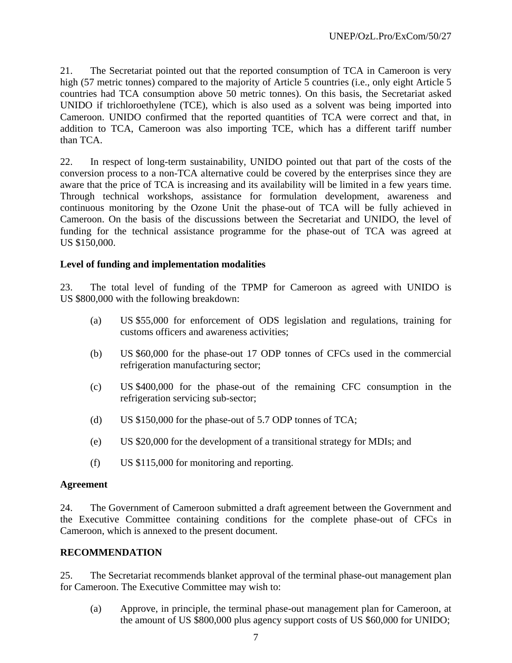21. The Secretariat pointed out that the reported consumption of TCA in Cameroon is very high (57 metric tonnes) compared to the majority of Article 5 countries (i.e., only eight Article 5 countries had TCA consumption above 50 metric tonnes). On this basis, the Secretariat asked UNIDO if trichloroethylene (TCE), which is also used as a solvent was being imported into Cameroon. UNIDO confirmed that the reported quantities of TCA were correct and that, in addition to TCA, Cameroon was also importing TCE, which has a different tariff number than TCA.

22. In respect of long-term sustainability, UNIDO pointed out that part of the costs of the conversion process to a non-TCA alternative could be covered by the enterprises since they are aware that the price of TCA is increasing and its availability will be limited in a few years time. Through technical workshops, assistance for formulation development, awareness and continuous monitoring by the Ozone Unit the phase-out of TCA will be fully achieved in Cameroon. On the basis of the discussions between the Secretariat and UNIDO, the level of funding for the technical assistance programme for the phase-out of TCA was agreed at US \$150,000.

#### **Level of funding and implementation modalities**

23. The total level of funding of the TPMP for Cameroon as agreed with UNIDO is US \$800,000 with the following breakdown:

- (a) US \$55,000 for enforcement of ODS legislation and regulations, training for customs officers and awareness activities;
- (b) US \$60,000 for the phase-out 17 ODP tonnes of CFCs used in the commercial refrigeration manufacturing sector;
- (c) US \$400,000 for the phase-out of the remaining CFC consumption in the refrigeration servicing sub-sector;
- (d) US \$150,000 for the phase-out of 5.7 ODP tonnes of TCA;
- (e) US \$20,000 for the development of a transitional strategy for MDIs; and
- (f) US \$115,000 for monitoring and reporting.

#### **Agreement**

24. The Government of Cameroon submitted a draft agreement between the Government and the Executive Committee containing conditions for the complete phase-out of CFCs in Cameroon, which is annexed to the present document.

#### **RECOMMENDATION**

25. The Secretariat recommends blanket approval of the terminal phase-out management plan for Cameroon. The Executive Committee may wish to:

(a) Approve, in principle, the terminal phase-out management plan for Cameroon, at the amount of US \$800,000 plus agency support costs of US \$60,000 for UNIDO;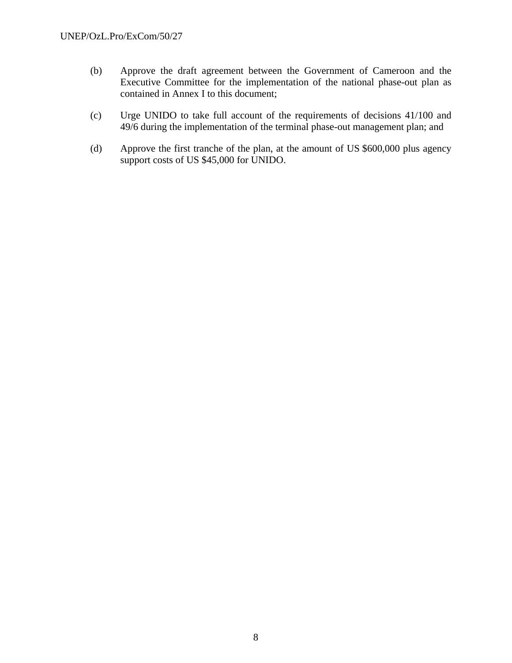- (b) Approve the draft agreement between the Government of Cameroon and the Executive Committee for the implementation of the national phase-out plan as contained in Annex I to this document;
- (c) Urge UNIDO to take full account of the requirements of decisions 41/100 and 49/6 during the implementation of the terminal phase-out management plan; and
- (d) Approve the first tranche of the plan, at the amount of US \$600,000 plus agency support costs of US \$45,000 for UNIDO.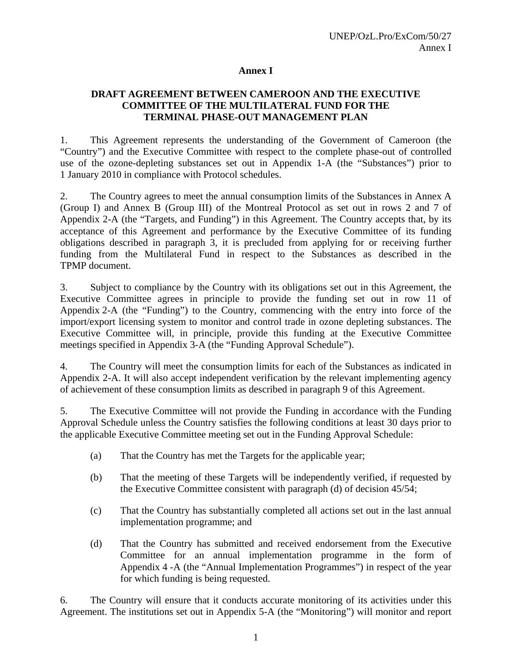#### **Annex I**

#### **DRAFT AGREEMENT BETWEEN CAMEROON AND THE EXECUTIVE COMMITTEE OF THE MULTILATERAL FUND FOR THE TERMINAL PHASE-OUT MANAGEMENT PLAN**

1. This Agreement represents the understanding of the Government of Cameroon (the "Country") and the Executive Committee with respect to the complete phase-out of controlled use of the ozone-depleting substances set out in Appendix 1-A (the "Substances") prior to 1 January 2010 in compliance with Protocol schedules.

2. The Country agrees to meet the annual consumption limits of the Substances in Annex A (Group I) and Annex B (Group III) of the Montreal Protocol as set out in rows 2 and 7 of Appendix 2-A (the "Targets, and Funding") in this Agreement. The Country accepts that, by its acceptance of this Agreement and performance by the Executive Committee of its funding obligations described in paragraph 3, it is precluded from applying for or receiving further funding from the Multilateral Fund in respect to the Substances as described in the TPMP document.

3. Subject to compliance by the Country with its obligations set out in this Agreement, the Executive Committee agrees in principle to provide the funding set out in row 11 of Appendix 2-A (the "Funding") to the Country, commencing with the entry into force of the import/export licensing system to monitor and control trade in ozone depleting substances. The Executive Committee will, in principle, provide this funding at the Executive Committee meetings specified in Appendix 3-A (the "Funding Approval Schedule").

4. The Country will meet the consumption limits for each of the Substances as indicated in Appendix 2-A. It will also accept independent verification by the relevant implementing agency of achievement of these consumption limits as described in paragraph 9 of this Agreement.

5. The Executive Committee will not provide the Funding in accordance with the Funding Approval Schedule unless the Country satisfies the following conditions at least 30 days prior to the applicable Executive Committee meeting set out in the Funding Approval Schedule:

- (a) That the Country has met the Targets for the applicable year;
- (b) That the meeting of these Targets will be independently verified, if requested by the Executive Committee consistent with paragraph (d) of decision 45/54;
- (c) That the Country has substantially completed all actions set out in the last annual implementation programme; and
- (d) That the Country has submitted and received endorsement from the Executive Committee for an annual implementation programme in the form of Appendix 4 -A (the "Annual Implementation Programmes") in respect of the year for which funding is being requested.

6. The Country will ensure that it conducts accurate monitoring of its activities under this Agreement. The institutions set out in Appendix 5-A (the "Monitoring") will monitor and report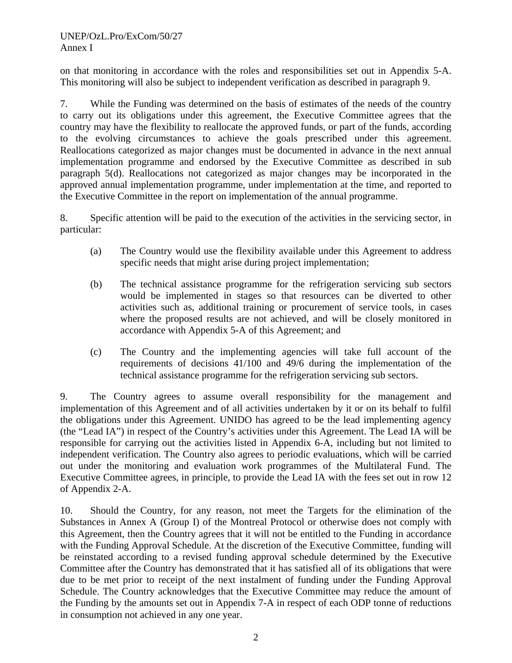on that monitoring in accordance with the roles and responsibilities set out in Appendix 5-A. This monitoring will also be subject to independent verification as described in paragraph 9.

7. While the Funding was determined on the basis of estimates of the needs of the country to carry out its obligations under this agreement, the Executive Committee agrees that the country may have the flexibility to reallocate the approved funds, or part of the funds, according to the evolving circumstances to achieve the goals prescribed under this agreement. Reallocations categorized as major changes must be documented in advance in the next annual implementation programme and endorsed by the Executive Committee as described in sub paragraph 5(d). Reallocations not categorized as major changes may be incorporated in the approved annual implementation programme, under implementation at the time, and reported to the Executive Committee in the report on implementation of the annual programme.

8. Specific attention will be paid to the execution of the activities in the servicing sector, in particular:

- (a) The Country would use the flexibility available under this Agreement to address specific needs that might arise during project implementation;
- (b) The technical assistance programme for the refrigeration servicing sub sectors would be implemented in stages so that resources can be diverted to other activities such as, additional training or procurement of service tools, in cases where the proposed results are not achieved, and will be closely monitored in accordance with Appendix 5-A of this Agreement; and
- (c) The Country and the implementing agencies will take full account of the requirements of decisions 41/100 and 49/6 during the implementation of the technical assistance programme for the refrigeration servicing sub sectors.

9. The Country agrees to assume overall responsibility for the management and implementation of this Agreement and of all activities undertaken by it or on its behalf to fulfil the obligations under this Agreement. UNIDO has agreed to be the lead implementing agency (the "Lead IA") in respect of the Country's activities under this Agreement. The Lead IA will be responsible for carrying out the activities listed in Appendix 6-A, including but not limited to independent verification. The Country also agrees to periodic evaluations, which will be carried out under the monitoring and evaluation work programmes of the Multilateral Fund. The Executive Committee agrees, in principle, to provide the Lead IA with the fees set out in row 12 of Appendix 2-A.

10. Should the Country, for any reason, not meet the Targets for the elimination of the Substances in Annex A (Group I) of the Montreal Protocol or otherwise does not comply with this Agreement, then the Country agrees that it will not be entitled to the Funding in accordance with the Funding Approval Schedule. At the discretion of the Executive Committee, funding will be reinstated according to a revised funding approval schedule determined by the Executive Committee after the Country has demonstrated that it has satisfied all of its obligations that were due to be met prior to receipt of the next instalment of funding under the Funding Approval Schedule. The Country acknowledges that the Executive Committee may reduce the amount of the Funding by the amounts set out in Appendix 7-A in respect of each ODP tonne of reductions in consumption not achieved in any one year.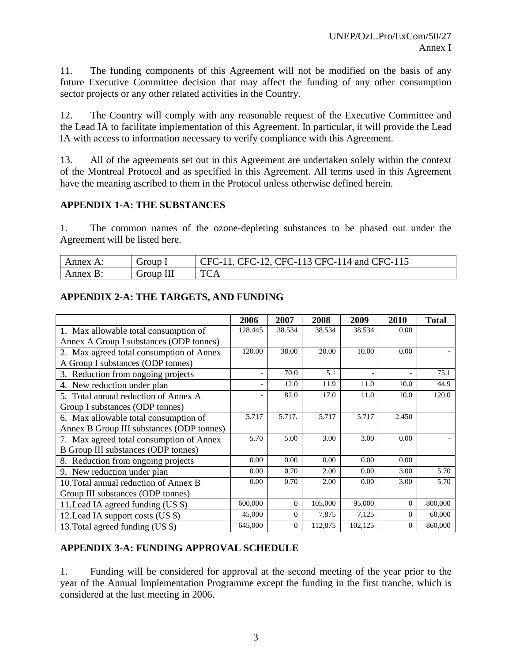11. The funding components of this Agreement will not be modified on the basis of any future Executive Committee decision that may affect the funding of any other consumption sector projects or any other related activities in the Country.

12. The Country will comply with any reasonable request of the Executive Committee and the Lead IA to facilitate implementation of this Agreement. In particular, it will provide the Lead IA with access to information necessary to verify compliance with this Agreement.

13. All of the agreements set out in this Agreement are undertaken solely within the context of the Montreal Protocol and as specified in this Agreement. All terms used in this Agreement have the meaning ascribed to them in the Protocol unless otherwise defined herein.

#### **APPENDIX 1-A: THE SUBSTANCES**

1. The common names of the ozone-depleting substances to be phased out under the Agreement will be listed here.

| nnex<br>$\Delta$ | $\overline{\phantom{0}}$<br>droup | `⊩′<br>and C<br>ำ∺≀<br>`н(<br>`Н(<br>$\Delta$<br>$-1$<br>. I<br>п.<br>- -<br>- 1<br>$\overline{\phantom{0}}$ |
|------------------|-----------------------------------|--------------------------------------------------------------------------------------------------------------|
| nnex<br>-        | <b>Jroup</b><br>111               | <b>TM</b><br>Δ<br>-                                                                                          |

#### **APPENDIX 2-A: THE TARGETS, AND FUNDING**

|                                            | 2006                     | 2007     | 2008    | 2009                     | 2010                     | <b>Total</b> |
|--------------------------------------------|--------------------------|----------|---------|--------------------------|--------------------------|--------------|
| 1. Max allowable total consumption of      | 128.445                  | 38.534   | 38.534  | 38.534                   | 0.00                     |              |
| Annex A Group I substances (ODP tonnes)    |                          |          |         |                          |                          |              |
| 2. Max agreed total consumption of Annex   | 120.00                   | 38.00    | 20.00   | 10.00                    | 0.00                     |              |
| A Group I substances (ODP tonnes)          |                          |          |         |                          |                          |              |
| 3. Reduction from ongoing projects         | $\overline{\phantom{a}}$ | 70.0     | 5.1     | $\overline{\phantom{a}}$ | $\overline{\phantom{0}}$ | 75.1         |
| 4. New reduction under plan                | $\overline{\phantom{a}}$ | 12.0     | 11.9    | 11.0                     | 10.0                     | 44.9         |
| 5. Total annual reduction of Annex A       |                          | 82.0     | 17.0    | 11.0                     | 10.0                     | 120.0        |
| Group I substances (ODP tonnes)            |                          |          |         |                          |                          |              |
| 6. Max allowable total consumption of      | 5.717                    | 5.717.   | 5.717   | 5.717                    | 2.450                    |              |
| Annex B Group III substances (ODP tonnes)  |                          |          |         |                          |                          |              |
| 7. Max agreed total consumption of Annex   | 5.70                     | 5.00     | 3.00    | 3.00                     | 0.00                     |              |
| <b>B</b> Group III substances (ODP tonnes) |                          |          |         |                          |                          |              |
| 8. Reduction from ongoing projects         | 0.00                     | 0.00     | 0.00    | 0.00                     | 0.00                     |              |
| 9. New reduction under plan                | 0.00                     | 0.70     | 2.00    | 0.00                     | 3.00                     | 5.70         |
| 10. Total annual reduction of Annex B      | 0.00                     | 0.70     | 2.00    | 0.00                     | 3.00                     | 5.70         |
| Group III substances (ODP tonnes)          |                          |          |         |                          |                          |              |
| 11. Lead IA agreed funding (US \$)         | 600,000                  | $\Omega$ | 105,000 | 95,000                   | $\overline{0}$           | 800,000      |
| 12. Lead IA support costs (US \$)          | 45,000                   | $\Omega$ | 7,875   | 7,125                    | $\Omega$                 | 60,000       |
| 13. Total agreed funding (US \$)           | 645,000                  | $\Omega$ | 112,875 | 102,125                  | $\Omega$                 | 860,000      |

## **APPENDIX 3-A: FUNDING APPROVAL SCHEDULE**

1. Funding will be considered for approval at the second meeting of the year prior to the year of the Annual Implementation Programme except the funding in the first tranche, which is considered at the last meeting in 2006.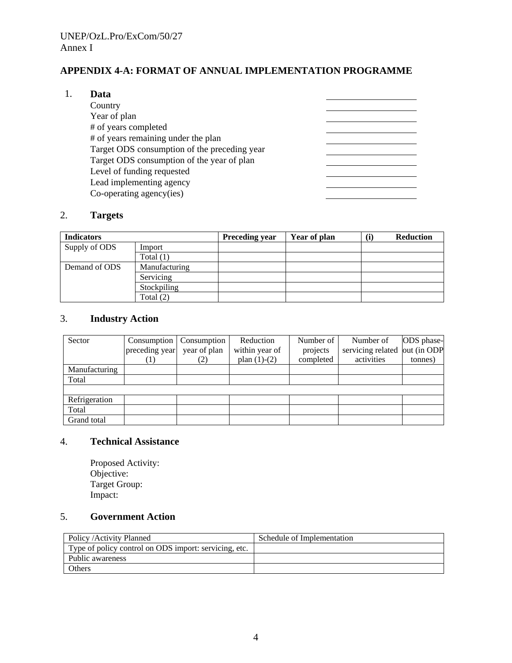## **APPENDIX 4-A: FORMAT OF ANNUAL IMPLEMENTATION PROGRAMME**

#### 1. **Data**

| Country                                      |  |
|----------------------------------------------|--|
| Year of plan                                 |  |
| # of years completed                         |  |
| # of years remaining under the plan          |  |
| Target ODS consumption of the preceding year |  |
| Target ODS consumption of the year of plan   |  |
| Level of funding requested                   |  |
| Lead implementing agency                     |  |
| Co-operating agency(ies)                     |  |

## 2. **Targets**

| <b>Indicators</b> |               | <b>Preceding year</b> | Year of plan | <b>Reduction</b><br>(i) |
|-------------------|---------------|-----------------------|--------------|-------------------------|
| Supply of ODS     | Import        |                       |              |                         |
|                   | Total $(1)$   |                       |              |                         |
| Demand of ODS     | Manufacturing |                       |              |                         |
|                   | Servicing     |                       |              |                         |
|                   | Stockpiling   |                       |              |                         |
|                   | Total (2)     |                       |              |                         |

## 3. **Industry Action**

| Sector        | Consumption    | Consumption  | Reduction      | Number of | Number of                     | ODS phase- |
|---------------|----------------|--------------|----------------|-----------|-------------------------------|------------|
|               | preceding year | year of plan | within year of | projects  | servicing related out (in ODP |            |
|               |                |              | plan $(1)-(2)$ | completed | activities                    | tonnes)    |
| Manufacturing |                |              |                |           |                               |            |
| Total         |                |              |                |           |                               |            |
|               |                |              |                |           |                               |            |
| Refrigeration |                |              |                |           |                               |            |
| Total         |                |              |                |           |                               |            |
| Grand total   |                |              |                |           |                               |            |

#### 4. **Technical Assistance**

Proposed Activity: Objective: Target Group: Impact:

## 5. **Government Action**

| Policy / Activity Planned                             | Schedule of Implementation |
|-------------------------------------------------------|----------------------------|
| Type of policy control on ODS import: servicing, etc. |                            |
| Public awareness                                      |                            |
| Others                                                |                            |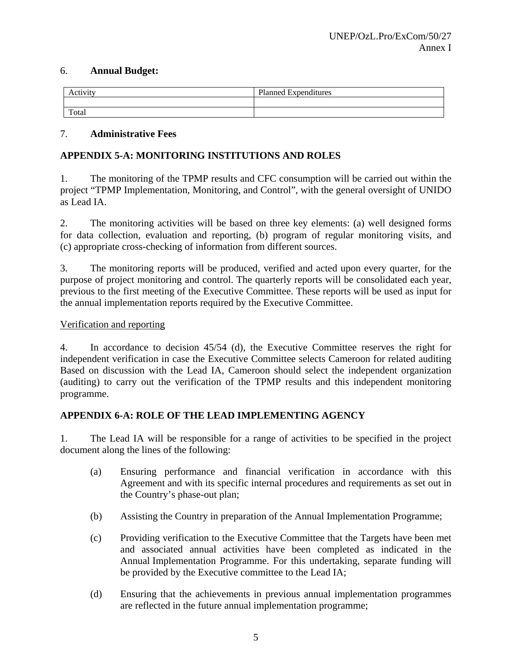#### 6. **Annual Budget:**

| Activity | <b>Planned Expenditures</b> |
|----------|-----------------------------|
|          |                             |
| Total    |                             |

#### 7. **Administrative Fees**

## **APPENDIX 5-A: MONITORING INSTITUTIONS AND ROLES**

1. The monitoring of the TPMP results and CFC consumption will be carried out within the project "TPMP Implementation, Monitoring, and Control", with the general oversight of UNIDO as Lead IA.

2. The monitoring activities will be based on three key elements: (a) well designed forms for data collection, evaluation and reporting, (b) program of regular monitoring visits, and (c) appropriate cross-checking of information from different sources.

3. The monitoring reports will be produced, verified and acted upon every quarter, for the purpose of project monitoring and control. The quarterly reports will be consolidated each year, previous to the first meeting of the Executive Committee. These reports will be used as input for the annual implementation reports required by the Executive Committee.

#### Verification and reporting

4. In accordance to decision 45/54 (d), the Executive Committee reserves the right for independent verification in case the Executive Committee selects Cameroon for related auditing Based on discussion with the Lead IA, Cameroon should select the independent organization (auditing) to carry out the verification of the TPMP results and this independent monitoring programme.

#### **APPENDIX 6-A: ROLE OF THE LEAD IMPLEMENTING AGENCY**

1. The Lead IA will be responsible for a range of activities to be specified in the project document along the lines of the following:

- (a) Ensuring performance and financial verification in accordance with this Agreement and with its specific internal procedures and requirements as set out in the Country's phase-out plan;
- (b) Assisting the Country in preparation of the Annual Implementation Programme;
- (c) Providing verification to the Executive Committee that the Targets have been met and associated annual activities have been completed as indicated in the Annual Implementation Programme. For this undertaking, separate funding will be provided by the Executive committee to the Lead IA;
- (d) Ensuring that the achievements in previous annual implementation programmes are reflected in the future annual implementation programme;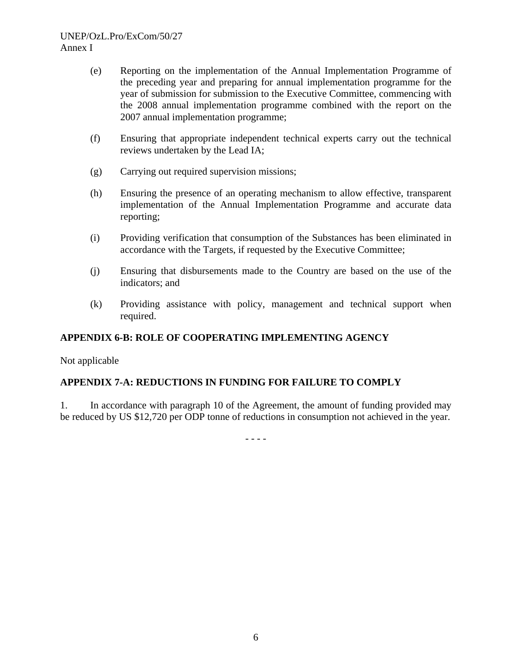#### UNEP/OzL.Pro/ExCom/50/27 Annex I

- (e) Reporting on the implementation of the Annual Implementation Programme of the preceding year and preparing for annual implementation programme for the year of submission for submission to the Executive Committee, commencing with the 2008 annual implementation programme combined with the report on the 2007 annual implementation programme;
- (f) Ensuring that appropriate independent technical experts carry out the technical reviews undertaken by the Lead IA;
- (g) Carrying out required supervision missions;
- (h) Ensuring the presence of an operating mechanism to allow effective, transparent implementation of the Annual Implementation Programme and accurate data reporting;
- (i) Providing verification that consumption of the Substances has been eliminated in accordance with the Targets, if requested by the Executive Committee;
- (j) Ensuring that disbursements made to the Country are based on the use of the indicators; and
- (k) Providing assistance with policy, management and technical support when required.

#### **APPENDIX 6-B: ROLE OF COOPERATING IMPLEMENTING AGENCY**

Not applicable

#### **APPENDIX 7-A: REDUCTIONS IN FUNDING FOR FAILURE TO COMPLY**

1. In accordance with paragraph 10 of the Agreement, the amount of funding provided may be reduced by US \$12,720 per ODP tonne of reductions in consumption not achieved in the year.

- - - -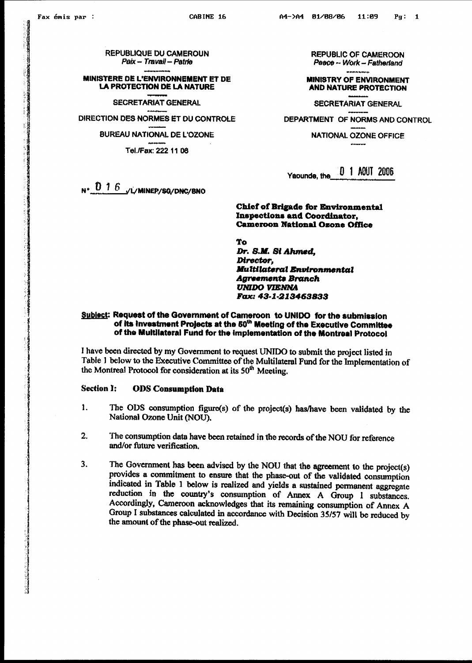**REPUBLIQUE DU CAMEROUN** Paix - Travail - Patrie

MINISTERE DE L'ENVIRONNEMENT ET DE **LA PROTECTION DE LA NATURE** 

**SECRETARIAT GENERAL** 

DIRECTION DES NORMES ET DU CONTROLE

**BUREAU NATIONAL DE L'OZONE** 

Tel./Fax: 222 11 06

**REPUBLIC OF CAMEROON** Peace -- Work -- Fatherland

**MINISTRY OF ENVIRONMENT AND NATURE PROTECTION** 

**SECRETARIAT GENERAL** DEPARTMENT OF NORMS AND CONTROL

**NATIONAL OZONE OFFICE** 

[0 1 AOUT 2006 Yaounde, the

**Chief of Brigade for Environmental Inspections and Coordinator, Cameroon National Ozone Office** 

To Dr. S.M. St Ahmed, Director, **Multilateral Environmental Agreements Branch UNIDO VIENNA** Fax: 43-1-213463833

#### Subject: Request of the Government of Cameroon to UNIDO for the submission of its investment Projects at the 50<sup>th</sup> Meeting of the Executive Committee of the Multilateral Fund for the implementation of the Montreal Protocol

I have been directed by my Government to request UNIDO to submit the project listed in Table 1 below to the Executive Committee of the Multilateral Fund for the Implementation of the Montreal Protocol for consideration at its 50<sup>th</sup> Meeting.

#### **Section I: ODS** Consumption Data

- $\mathbf{1}$ . The ODS consumption figure(s) of the project(s) has/have been validated by the National Ozone Unit (NOU).
- The consumption data have been retained in the records of the NOU for reference  $2.$ and/or future verification.
- 3. The Government has been advised by the NOU that the agreement to the project(s) provides a commitment to ensure that the phase-out of the validated consumption indicated in Table 1 below is realized and yields a sustained permanent aggregate reduction in the country's consumption of Annex A Group I substances. Accordingly, Cameroon acknowledges that its remaining consumption of Annex A Group I substances calculated in accordance with Decision 35/57 will be reduced by the amount of the phase-out realized.

 $N^*$  0 1 6  $\sqrt{L}$  Minep/sq/DNC/BNO